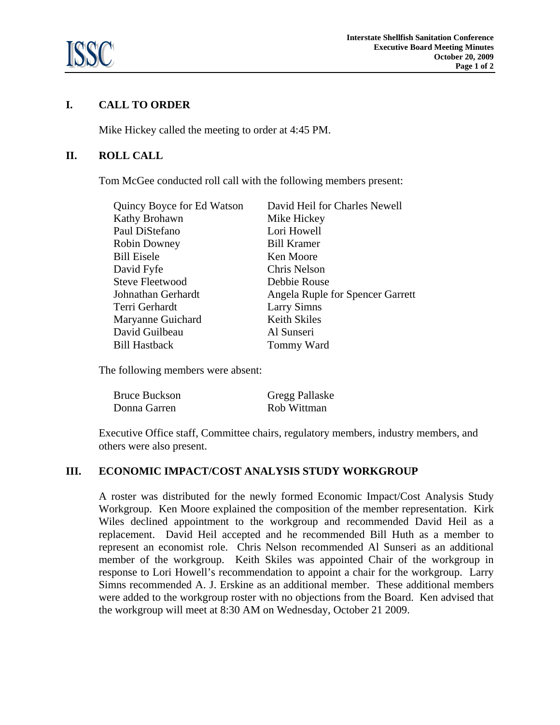

# **I. CALL TO ORDER**

Mike Hickey called the meeting to order at 4:45 PM.

## **II. ROLL CALL**

Tom McGee conducted roll call with the following members present:

| Quincy Boyce for Ed Watson | David Heil for Charles Newell    |
|----------------------------|----------------------------------|
| Kathy Brohawn              | Mike Hickey                      |
| Paul DiStefano             | Lori Howell                      |
| <b>Robin Downey</b>        | <b>Bill Kramer</b>               |
| Bill Eisele                | Ken Moore                        |
| David Fyfe                 | Chris Nelson                     |
| <b>Steve Fleetwood</b>     | Debbie Rouse                     |
| Johnathan Gerhardt         | Angela Ruple for Spencer Garrett |
| Terri Gerhardt             | <b>Larry Simns</b>               |
| Maryanne Guichard          | Keith Skiles                     |
| David Guilbeau             | Al Sunseri                       |
| Bill Hastback              | Tommy Ward                       |
|                            |                                  |

The following members were absent:

| <b>Bruce Buckson</b> | <b>Gregg Pallaske</b> |
|----------------------|-----------------------|
| Donna Garren         | Rob Wittman           |

 Executive Office staff, Committee chairs, regulatory members, industry members, and others were also present.

#### **III. ECONOMIC IMPACT/COST ANALYSIS STUDY WORKGROUP**

A roster was distributed for the newly formed Economic Impact/Cost Analysis Study Workgroup. Ken Moore explained the composition of the member representation. Kirk Wiles declined appointment to the workgroup and recommended David Heil as a replacement. David Heil accepted and he recommended Bill Huth as a member to represent an economist role. Chris Nelson recommended Al Sunseri as an additional member of the workgroup. Keith Skiles was appointed Chair of the workgroup in response to Lori Howell's recommendation to appoint a chair for the workgroup. Larry Simns recommended A. J. Erskine as an additional member. These additional members were added to the workgroup roster with no objections from the Board. Ken advised that the workgroup will meet at 8:30 AM on Wednesday, October 21 2009.